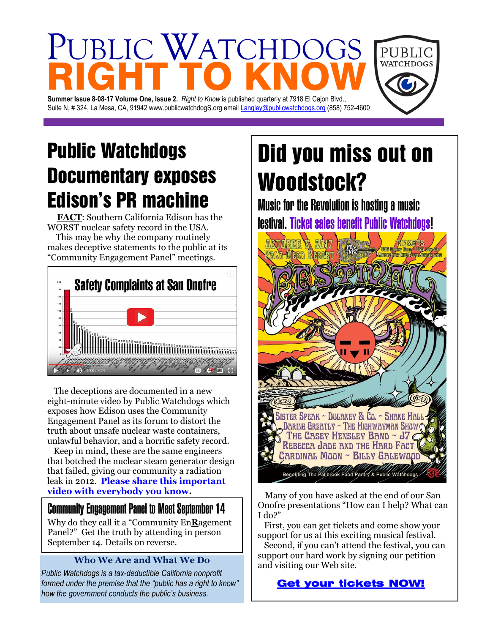# PUBLIC WATCHDC RIGHT TO KNOW

**Summer Issue 8-08-17 Volume One, Issue 2.** *Right to Know* is published quarterly at 7918 El Cajon Blvd., Suite N, # 324, La Mesa, CA, 91942 www.publicwatchdogS.org emai[l Langley@publicwatchdogs.org](mailto:Langley@publicwatchdogs.org) (858) 752-4600

### Public Watchdogs Documentary exposes Edison's PR machine

 **FACT**: Southern California Edison has the WORST nuclear safety record in the USA. This may be why the company routinely makes deceptive statements to the public at its "Community Engagement Panel" meetings.



 The deceptions are documented in a new eight-minute video by Public Watchdogs which exposes how Edison uses the Community Engagement Panel as its forum to distort the truth about unsafe nuclear waste containers, unlawful behavior, and a horrific safety record.

 Keep in mind, these are the same engineers that botched the nuclear steam generator design that failed, giving our community a radiation leak in 2012. **[Please share this important](https://www.youtube.com/watch?v=XT1vXNWtvnM)  [video with everybody you know.](https://www.youtube.com/watch?v=XT1vXNWtvnM)**

#### Community Engagement Panel to Meet September 14

Why do they call it a "Community En**R**agement Panel?" Get the truth by attending in person September 14. Details on reverse.

#### **Who We Are and What We Do**

*Public Watchdogs is a tax-deductible California nonprofit formed under the premise that the "public has a right to know" how the government conducts the public's business.* 

## Did you miss out on Woodstock?

PUBLIC **WATCHDOGS** 

Music for the Revolution is hosting a music festival. Ticket sales benefit Public Watchdogs!



 Many of you have asked at the end of our San Onofre presentations "How can I help? What can I do?"

 First, you can get tickets and come show your support for us at this exciting musical festival.

 Second, if you can't attend the festival, you can support our hard work by signing our petition and visiting our Web site.

[Get your tickets NOW!](https://www.eventbrite.com/e/music-for-the-revolution-2017-tickets-35421596950)